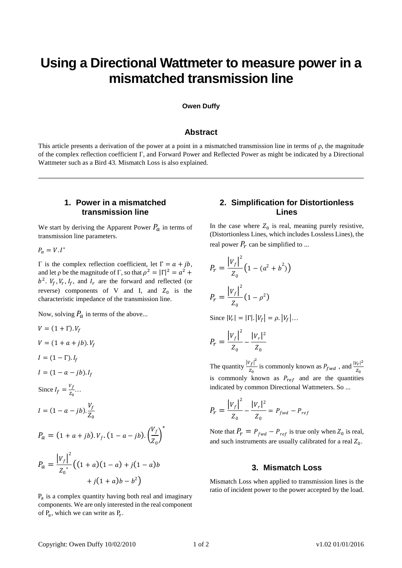# **Using a Directional Wattmeter to measure power in a mismatched transmission line**

#### **Owen Duffy**

## **Abstract**

This article presents a derivation of the power at a point in a mismatched transmission line in terms of  $\rho$ , the magnitude of the complex reflection coefficient Γ, and Forward Power and Reflected Power as might be indicated by a Directional Wattmeter such as a Bird 43. Mismatch Loss is also explained.

## **1. Power in a mismatched transmission line**

We start by deriving the Apparent Power  $P_a$  in terms of transmission line parameters.

 $P_a = V \cdot I^*$ 

 $Γ$  is the complex reflection coefficient, let  $Γ = a + jb$ , and let  $\rho$  be the magnitude of  $\Gamma$ , so that  $\rho^2 = |\Gamma|^2 = a^2 +$  $b^2$ .  $V_f$ ,  $V_r$ ,  $I_f$ , and  $I_r$  are the forward and reflected (or reverse) components of V and I, and  $Z_0$  is the characteristic impedance of the transmission line.

Now, solving  $P_a$  in terms of the above...

$$
V = (1 + \Gamma) \cdot V_f
$$
  
\n
$$
V = (1 + a + jb) \cdot V_f
$$
  
\n
$$
I = (1 - \Gamma) \cdot I_f
$$
  
\n
$$
I = (1 - a - jb) \cdot I_f
$$
  
\nSince  $I_f = \frac{V_f}{z_0} \dots$   
\n
$$
I = (1 - a - jb) \cdot \frac{V_f}{Z_0}
$$
  
\n
$$
P_a = (1 + a + jb) \cdot V_f \cdot (1 - a - jb) \cdot \left(\frac{V_f}{Z_0}\right)^*
$$
  
\n
$$
P_a = \frac{|V_f|^2}{Z_0^*} \left( (1 + a)(1 - a) + j(1 - a)b + j(1 + a)b - b^2 \right)
$$

P<sub>a</sub> is a complex quantity having both real and imaginary components. We are only interested in the real component of  $P_a$ , which we can write as  $P_r$ .

# **2. Simplification for Distortionless Lines**

In the case where  $Z_0$  is real, meaning purely resistive, (Distortionless Lines, which includes Lossless Lines), the real power  $P_r$  can be simplified to ...

$$
P_r = \frac{|V_f|^2}{Z_0} \left(1 - (a^2 + b^2)\right)
$$

$$
P_r = \frac{|V_f|^2}{Z_0} \left(1 - \rho^2\right)
$$

Since  $|V_r| = |\Gamma| \cdot |V_f| = \rho \cdot |V_f| \dots$ 

$$
P_r = \frac{|V_f|^2}{Z_0} - \frac{|V_r|^2}{Z_0}
$$

The quantity  $\frac{|V_f|^2}{r}$  $\frac{|V_f|^2}{|Z_0|}$  is commonly known as  $P_{fwd}$ , and  $\frac{|V_r|^2}{|Z_0|}$  $z_{0}$ is commonly known as  $P_{ref}$  and are the quantities indicated by common Directional Wattmeters. So ...

$$
P_r = \frac{|V_f|^2}{Z_0} - \frac{|V_r|^2}{Z_0} = P_{fwd} - P_{ref}
$$

Note that  $P_r = P_{fwd} - P_{ref}$  is true only when  $Z_0$  is real, and such instruments are usually calibrated for a real  $Z_0$ .

## **3. Mismatch Loss**

Mismatch Loss when applied to transmission lines is the ratio of incident power to the power accepted by the load.